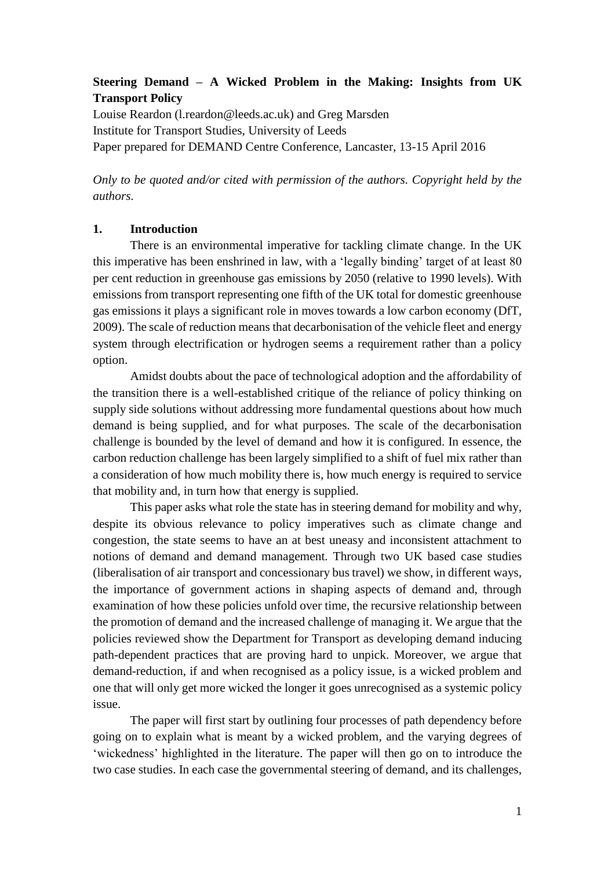### **Steering Demand – A Wicked Problem in the Making: Insights from UK Transport Policy**

Louise Reardon (l.reardon@leeds.ac.uk) and Greg Marsden Institute for Transport Studies, University of Leeds Paper prepared for DEMAND Centre Conference, Lancaster, 13-15 April 2016

*Only to be quoted and/or cited with permission of the authors. Copyright held by the authors.* 

#### **1. Introduction**

There is an environmental imperative for tackling climate change. In the UK this imperative has been enshrined in law, with a 'legally binding' target of at least 80 per cent reduction in greenhouse gas emissions by 2050 (relative to 1990 levels). With emissions from transport representing one fifth of the UK total for domestic greenhouse gas emissions it plays a significant role in moves towards a low carbon economy (DfT, 2009). The scale of reduction means that decarbonisation of the vehicle fleet and energy system through electrification or hydrogen seems a requirement rather than a policy option.

Amidst doubts about the pace of technological adoption and the affordability of the transition there is a well-established critique of the reliance of policy thinking on supply side solutions without addressing more fundamental questions about how much demand is being supplied, and for what purposes. The scale of the decarbonisation challenge is bounded by the level of demand and how it is configured. In essence, the carbon reduction challenge has been largely simplified to a shift of fuel mix rather than a consideration of how much mobility there is, how much energy is required to service that mobility and, in turn how that energy is supplied.

This paper asks what role the state has in steering demand for mobility and why, despite its obvious relevance to policy imperatives such as climate change and congestion, the state seems to have an at best uneasy and inconsistent attachment to notions of demand and demand management. Through two UK based case studies (liberalisation of air transport and concessionary bus travel) we show, in different ways, the importance of government actions in shaping aspects of demand and, through examination of how these policies unfold over time, the recursive relationship between the promotion of demand and the increased challenge of managing it. We argue that the policies reviewed show the Department for Transport as developing demand inducing path-dependent practices that are proving hard to unpick. Moreover, we argue that demand-reduction, if and when recognised as a policy issue, is a wicked problem and one that will only get more wicked the longer it goes unrecognised as a systemic policy issue.

The paper will first start by outlining four processes of path dependency before going on to explain what is meant by a wicked problem, and the varying degrees of 'wickedness' highlighted in the literature. The paper will then go on to introduce the two case studies. In each case the governmental steering of demand, and its challenges,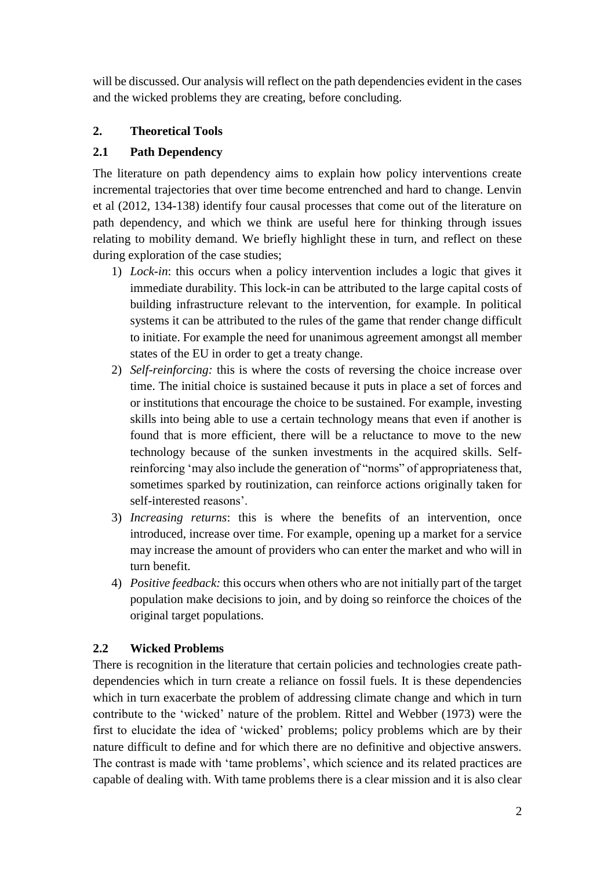will be discussed. Our analysis will reflect on the path dependencies evident in the cases and the wicked problems they are creating, before concluding.

# **2. Theoretical Tools**

## **2.1 Path Dependency**

The literature on path dependency aims to explain how policy interventions create incremental trajectories that over time become entrenched and hard to change. Lenvin et al (2012, 134-138) identify four causal processes that come out of the literature on path dependency, and which we think are useful here for thinking through issues relating to mobility demand. We briefly highlight these in turn, and reflect on these during exploration of the case studies;

- 1) *Lock-in*: this occurs when a policy intervention includes a logic that gives it immediate durability. This lock-in can be attributed to the large capital costs of building infrastructure relevant to the intervention, for example. In political systems it can be attributed to the rules of the game that render change difficult to initiate. For example the need for unanimous agreement amongst all member states of the EU in order to get a treaty change.
- 2) *Self-reinforcing:* this is where the costs of reversing the choice increase over time. The initial choice is sustained because it puts in place a set of forces and or institutions that encourage the choice to be sustained. For example, investing skills into being able to use a certain technology means that even if another is found that is more efficient, there will be a reluctance to move to the new technology because of the sunken investments in the acquired skills. Selfreinforcing 'may also include the generation of "norms" of appropriateness that, sometimes sparked by routinization, can reinforce actions originally taken for self-interested reasons'.
- 3) *Increasing returns*: this is where the benefits of an intervention, once introduced, increase over time. For example, opening up a market for a service may increase the amount of providers who can enter the market and who will in turn benefit.
- 4) *Positive feedback:* this occurs when others who are not initially part of the target population make decisions to join, and by doing so reinforce the choices of the original target populations.

## **2.2 Wicked Problems**

There is recognition in the literature that certain policies and technologies create pathdependencies which in turn create a reliance on fossil fuels. It is these dependencies which in turn exacerbate the problem of addressing climate change and which in turn contribute to the 'wicked' nature of the problem. Rittel and Webber (1973) were the first to elucidate the idea of 'wicked' problems; policy problems which are by their nature difficult to define and for which there are no definitive and objective answers. The contrast is made with 'tame problems', which science and its related practices are capable of dealing with. With tame problems there is a clear mission and it is also clear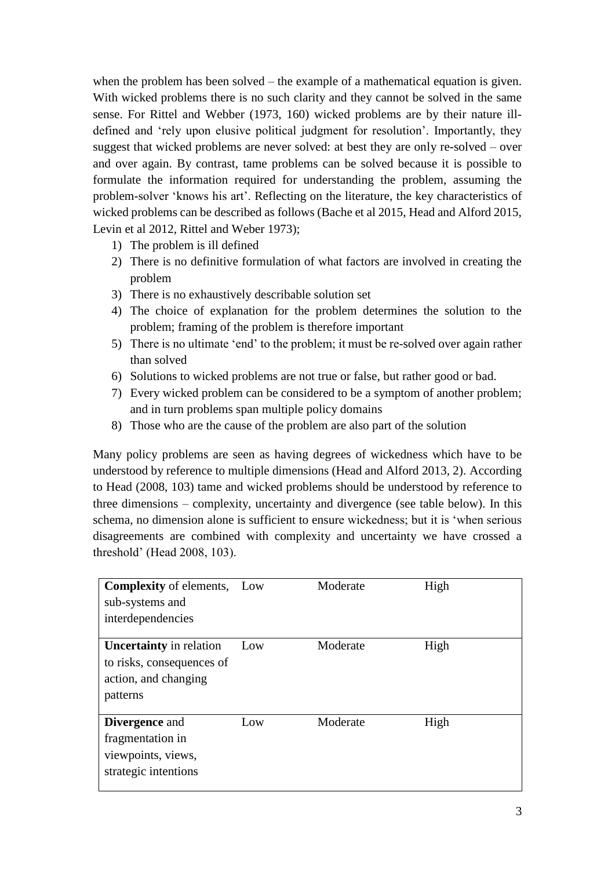when the problem has been solved – the example of a mathematical equation is given. With wicked problems there is no such clarity and they cannot be solved in the same sense. For Rittel and Webber (1973, 160) wicked problems are by their nature illdefined and 'rely upon elusive political judgment for resolution'. Importantly, they suggest that wicked problems are never solved: at best they are only re-solved – over and over again. By contrast, tame problems can be solved because it is possible to formulate the information required for understanding the problem, assuming the problem-solver 'knows his art'. Reflecting on the literature, the key characteristics of wicked problems can be described as follows (Bache et al 2015, Head and Alford 2015, Levin et al 2012, Rittel and Weber 1973);

- 1) The problem is ill defined
- 2) There is no definitive formulation of what factors are involved in creating the problem
- 3) There is no exhaustively describable solution set
- 4) The choice of explanation for the problem determines the solution to the problem; framing of the problem is therefore important
- 5) There is no ultimate 'end' to the problem; it must be re-solved over again rather than solved
- 6) Solutions to wicked problems are not true or false, but rather good or bad.
- 7) Every wicked problem can be considered to be a symptom of another problem; and in turn problems span multiple policy domains
- 8) Those who are the cause of the problem are also part of the solution

Many policy problems are seen as having degrees of wickedness which have to be understood by reference to multiple dimensions (Head and Alford 2013, 2). According to Head (2008, 103) tame and wicked problems should be understood by reference to three dimensions – complexity, uncertainty and divergence (see table below). In this schema, no dimension alone is sufficient to ensure wickedness; but it is 'when serious disagreements are combined with complexity and uncertainty we have crossed a threshold' (Head 2008, 103).

| <b>Complexity of elements, Low</b><br>sub-systems and<br>interdependencies                      |     | Moderate | High |
|-------------------------------------------------------------------------------------------------|-----|----------|------|
| <b>Uncertainty</b> in relation<br>to risks, consequences of<br>action, and changing<br>patterns | Low | Moderate | High |
| <b>Divergence</b> and<br>fragmentation in<br>viewpoints, views,<br>strategic intentions         | Low | Moderate | High |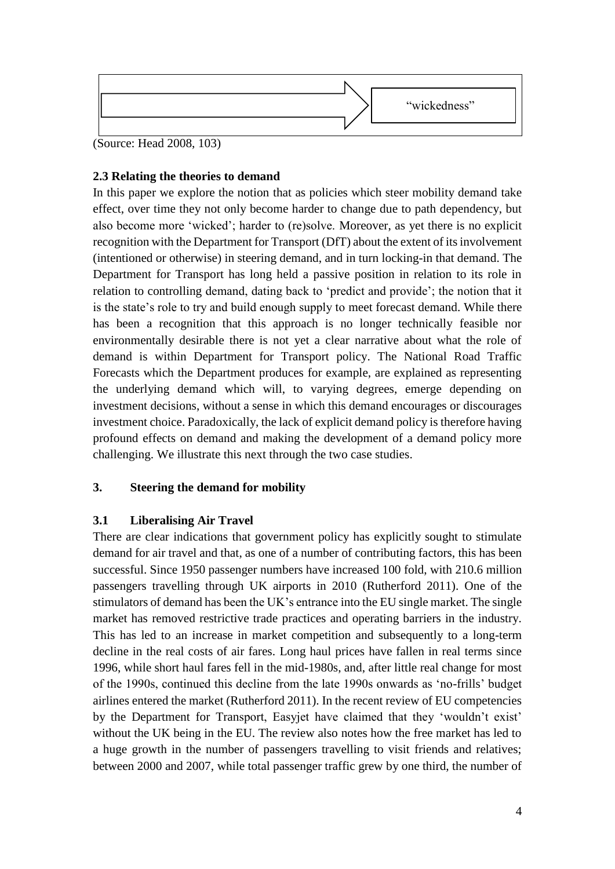

(Source: Head 2008, 103)

### **2.3 Relating the theories to demand**

In this paper we explore the notion that as policies which steer mobility demand take effect, over time they not only become harder to change due to path dependency, but also become more 'wicked'; harder to (re)solve. Moreover, as yet there is no explicit recognition with the Department for Transport (DfT) about the extent of its involvement (intentioned or otherwise) in steering demand, and in turn locking-in that demand. The Department for Transport has long held a passive position in relation to its role in relation to controlling demand, dating back to 'predict and provide'; the notion that it is the state's role to try and build enough supply to meet forecast demand. While there has been a recognition that this approach is no longer technically feasible nor environmentally desirable there is not yet a clear narrative about what the role of demand is within Department for Transport policy. The National Road Traffic Forecasts which the Department produces for example, are explained as representing the underlying demand which will, to varying degrees, emerge depending on investment decisions, without a sense in which this demand encourages or discourages investment choice. Paradoxically, the lack of explicit demand policy is therefore having profound effects on demand and making the development of a demand policy more challenging. We illustrate this next through the two case studies.

## **3. Steering the demand for mobility**

## **3.1 Liberalising Air Travel**

There are clear indications that government policy has explicitly sought to stimulate demand for air travel and that, as one of a number of contributing factors, this has been successful. Since 1950 passenger numbers have increased 100 fold, with 210.6 million passengers travelling through UK airports in 2010 (Rutherford 2011). One of the stimulators of demand has been the UK's entrance into the EU single market. The single market has removed restrictive trade practices and operating barriers in the industry. This has led to an increase in market competition and subsequently to a long-term decline in the real costs of air fares. Long haul prices have fallen in real terms since 1996, while short haul fares fell in the mid-1980s, and, after little real change for most of the 1990s, continued this decline from the late 1990s onwards as 'no-frills' budget airlines entered the market (Rutherford 2011). In the recent review of EU competencies by the Department for Transport, Easyjet have claimed that they 'wouldn't exist' without the UK being in the EU. The review also notes how the free market has led to a huge growth in the number of passengers travelling to visit friends and relatives; between 2000 and 2007, while total passenger traffic grew by one third, the number of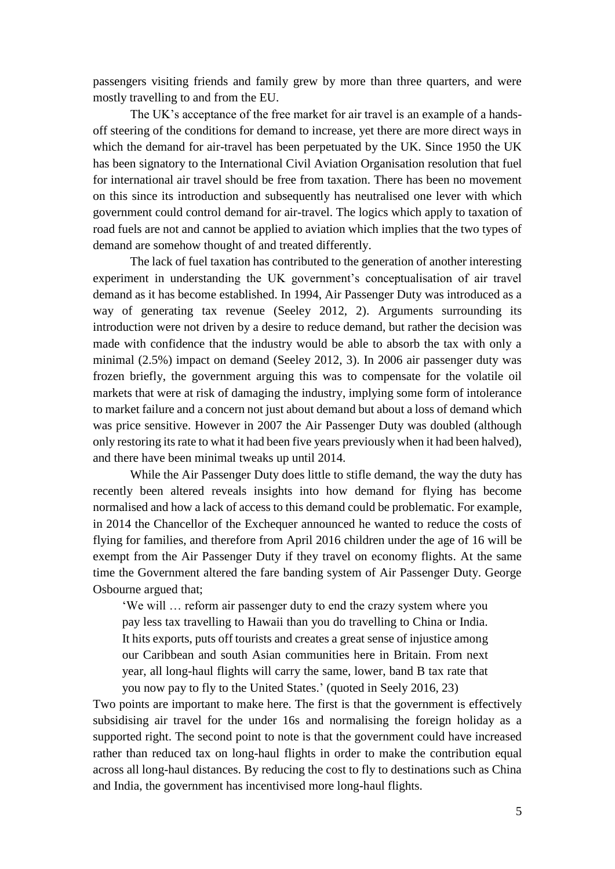passengers visiting friends and family grew by more than three quarters, and were mostly travelling to and from the EU.

The UK's acceptance of the free market for air travel is an example of a handsoff steering of the conditions for demand to increase, yet there are more direct ways in which the demand for air-travel has been perpetuated by the UK. Since 1950 the UK has been signatory to the International Civil Aviation Organisation resolution that fuel for international air travel should be free from taxation. There has been no movement on this since its introduction and subsequently has neutralised one lever with which government could control demand for air-travel. The logics which apply to taxation of road fuels are not and cannot be applied to aviation which implies that the two types of demand are somehow thought of and treated differently.

The lack of fuel taxation has contributed to the generation of another interesting experiment in understanding the UK government's conceptualisation of air travel demand as it has become established. In 1994, Air Passenger Duty was introduced as a way of generating tax revenue (Seeley 2012, 2). Arguments surrounding its introduction were not driven by a desire to reduce demand, but rather the decision was made with confidence that the industry would be able to absorb the tax with only a minimal (2.5%) impact on demand (Seeley 2012, 3). In 2006 air passenger duty was frozen briefly, the government arguing this was to compensate for the volatile oil markets that were at risk of damaging the industry, implying some form of intolerance to market failure and a concern not just about demand but about a loss of demand which was price sensitive. However in 2007 the Air Passenger Duty was doubled (although only restoring its rate to what it had been five years previously when it had been halved), and there have been minimal tweaks up until 2014.

While the Air Passenger Duty does little to stifle demand, the way the duty has recently been altered reveals insights into how demand for flying has become normalised and how a lack of access to this demand could be problematic. For example, in 2014 the Chancellor of the Exchequer announced he wanted to reduce the costs of flying for families, and therefore from April 2016 children under the age of 16 will be exempt from the Air Passenger Duty if they travel on economy flights. At the same time the Government altered the fare banding system of Air Passenger Duty. George Osbourne argued that;

'We will … reform air passenger duty to end the crazy system where you pay less tax travelling to Hawaii than you do travelling to China or India. It hits exports, puts off tourists and creates a great sense of injustice among our Caribbean and south Asian communities here in Britain. From next year, all long-haul flights will carry the same, lower, band B tax rate that you now pay to fly to the United States.' (quoted in Seely 2016, 23)

Two points are important to make here. The first is that the government is effectively subsidising air travel for the under 16s and normalising the foreign holiday as a supported right. The second point to note is that the government could have increased rather than reduced tax on long-haul flights in order to make the contribution equal across all long-haul distances. By reducing the cost to fly to destinations such as China and India, the government has incentivised more long-haul flights.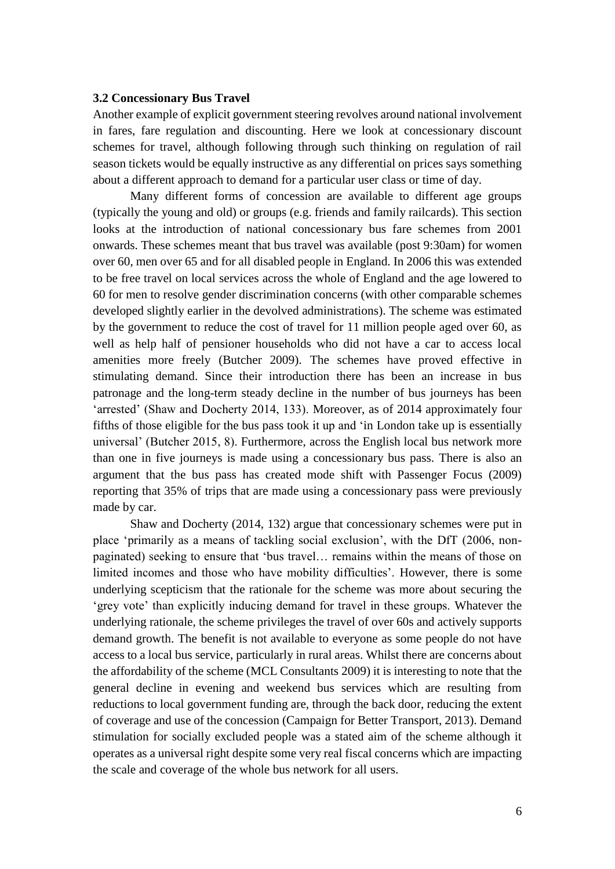#### **3.2 Concessionary Bus Travel**

Another example of explicit government steering revolves around national involvement in fares, fare regulation and discounting. Here we look at concessionary discount schemes for travel, although following through such thinking on regulation of rail season tickets would be equally instructive as any differential on prices says something about a different approach to demand for a particular user class or time of day.

Many different forms of concession are available to different age groups (typically the young and old) or groups (e.g. friends and family railcards). This section looks at the introduction of national concessionary bus fare schemes from 2001 onwards. These schemes meant that bus travel was available (post 9:30am) for women over 60, men over 65 and for all disabled people in England. In 2006 this was extended to be free travel on local services across the whole of England and the age lowered to 60 for men to resolve gender discrimination concerns (with other comparable schemes developed slightly earlier in the devolved administrations). The scheme was estimated by the government to reduce the cost of travel for 11 million people aged over 60, as well as help half of pensioner households who did not have a car to access local amenities more freely (Butcher 2009). The schemes have proved effective in stimulating demand. Since their introduction there has been an increase in bus patronage and the long-term steady decline in the number of bus journeys has been 'arrested' (Shaw and Docherty 2014, 133). Moreover, as of 2014 approximately four fifths of those eligible for the bus pass took it up and 'in London take up is essentially universal' (Butcher 2015, 8). Furthermore, across the English local bus network more than one in five journeys is made using a concessionary bus pass. There is also an argument that the bus pass has created mode shift with Passenger Focus (2009) reporting that 35% of trips that are made using a concessionary pass were previously made by car.

Shaw and Docherty (2014, 132) argue that concessionary schemes were put in place 'primarily as a means of tackling social exclusion', with the DfT (2006, nonpaginated) seeking to ensure that 'bus travel… remains within the means of those on limited incomes and those who have mobility difficulties'. However, there is some underlying scepticism that the rationale for the scheme was more about securing the 'grey vote' than explicitly inducing demand for travel in these groups. Whatever the underlying rationale, the scheme privileges the travel of over 60s and actively supports demand growth. The benefit is not available to everyone as some people do not have access to a local bus service, particularly in rural areas. Whilst there are concerns about the affordability of the scheme (MCL Consultants 2009) it is interesting to note that the general decline in evening and weekend bus services which are resulting from reductions to local government funding are, through the back door, reducing the extent of coverage and use of the concession (Campaign for Better Transport, 2013). Demand stimulation for socially excluded people was a stated aim of the scheme although it operates as a universal right despite some very real fiscal concerns which are impacting the scale and coverage of the whole bus network for all users.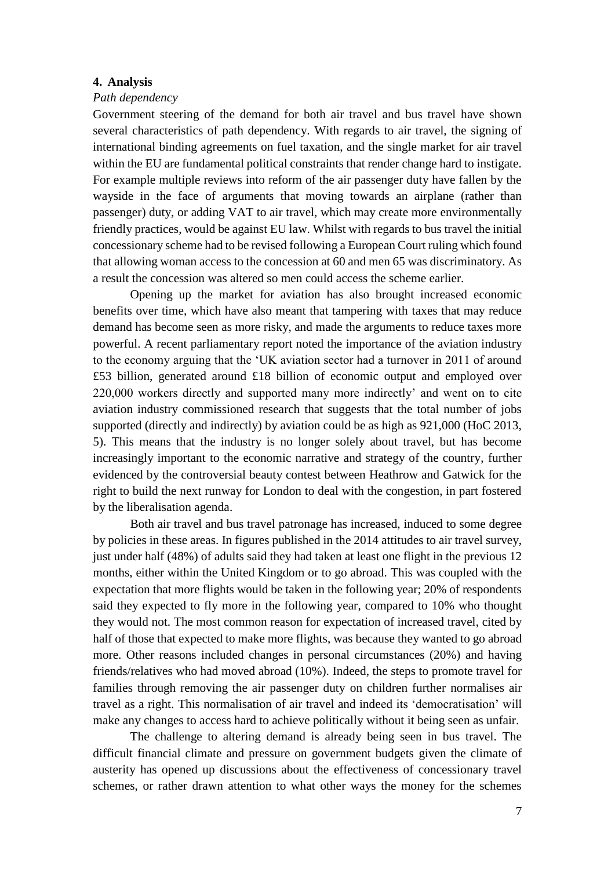#### **4. Analysis**

#### *Path dependency*

Government steering of the demand for both air travel and bus travel have shown several characteristics of path dependency. With regards to air travel, the signing of international binding agreements on fuel taxation, and the single market for air travel within the EU are fundamental political constraints that render change hard to instigate. For example multiple reviews into reform of the air passenger duty have fallen by the wayside in the face of arguments that moving towards an airplane (rather than passenger) duty, or adding VAT to air travel, which may create more environmentally friendly practices, would be against EU law. Whilst with regards to bus travel the initial concessionary scheme had to be revised following a European Court ruling which found that allowing woman access to the concession at 60 and men 65 was discriminatory. As a result the concession was altered so men could access the scheme earlier.

Opening up the market for aviation has also brought increased economic benefits over time, which have also meant that tampering with taxes that may reduce demand has become seen as more risky, and made the arguments to reduce taxes more powerful. A recent parliamentary report noted the importance of the aviation industry to the economy arguing that the 'UK aviation sector had a turnover in 2011 of around £53 billion, generated around £18 billion of economic output and employed over 220,000 workers directly and supported many more indirectly' and went on to cite aviation industry commissioned research that suggests that the total number of jobs supported (directly and indirectly) by aviation could be as high as 921,000 (HoC 2013, 5). This means that the industry is no longer solely about travel, but has become increasingly important to the economic narrative and strategy of the country, further evidenced by the controversial beauty contest between Heathrow and Gatwick for the right to build the next runway for London to deal with the congestion, in part fostered by the liberalisation agenda.

Both air travel and bus travel patronage has increased, induced to some degree by policies in these areas. In figures published in the 2014 attitudes to air travel survey, just under half (48%) of adults said they had taken at least one flight in the previous 12 months, either within the United Kingdom or to go abroad. This was coupled with the expectation that more flights would be taken in the following year; 20% of respondents said they expected to fly more in the following year, compared to 10% who thought they would not. The most common reason for expectation of increased travel, cited by half of those that expected to make more flights, was because they wanted to go abroad more. Other reasons included changes in personal circumstances (20%) and having friends/relatives who had moved abroad (10%). Indeed, the steps to promote travel for families through removing the air passenger duty on children further normalises air travel as a right. This normalisation of air travel and indeed its 'democratisation' will make any changes to access hard to achieve politically without it being seen as unfair.

The challenge to altering demand is already being seen in bus travel. The difficult financial climate and pressure on government budgets given the climate of austerity has opened up discussions about the effectiveness of concessionary travel schemes, or rather drawn attention to what other ways the money for the schemes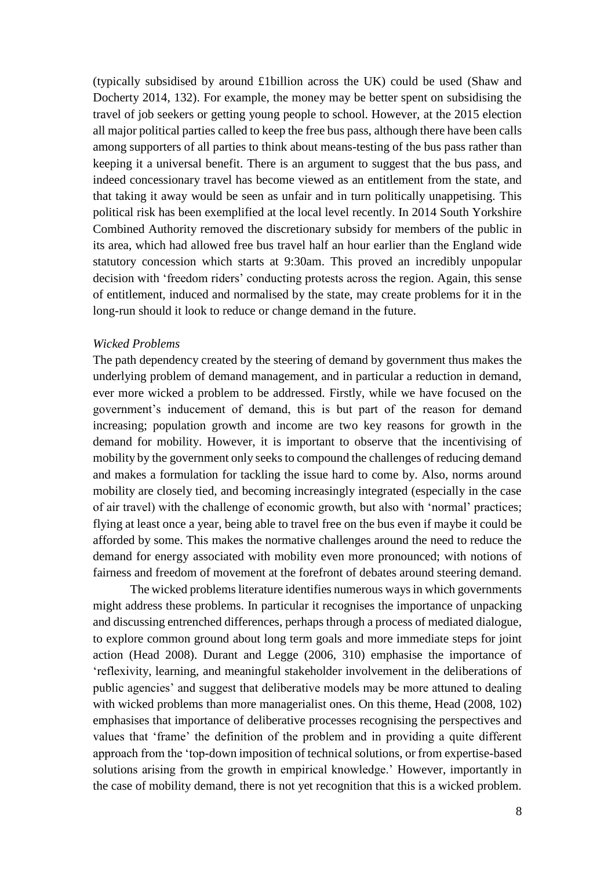(typically subsidised by around £1billion across the UK) could be used (Shaw and Docherty 2014, 132). For example, the money may be better spent on subsidising the travel of job seekers or getting young people to school. However, at the 2015 election all major political parties called to keep the free bus pass, although there have been calls among supporters of all parties to think about means-testing of the bus pass rather than keeping it a universal benefit. There is an argument to suggest that the bus pass, and indeed concessionary travel has become viewed as an entitlement from the state, and that taking it away would be seen as unfair and in turn politically unappetising. This political risk has been exemplified at the local level recently. In 2014 South Yorkshire Combined Authority removed the discretionary subsidy for members of the public in its area, which had allowed free bus travel half an hour earlier than the England wide statutory concession which starts at 9:30am. This proved an incredibly unpopular decision with 'freedom riders' conducting protests across the region. Again, this sense of entitlement, induced and normalised by the state, may create problems for it in the long-run should it look to reduce or change demand in the future.

#### *Wicked Problems*

The path dependency created by the steering of demand by government thus makes the underlying problem of demand management, and in particular a reduction in demand, ever more wicked a problem to be addressed. Firstly, while we have focused on the government's inducement of demand, this is but part of the reason for demand increasing; population growth and income are two key reasons for growth in the demand for mobility. However, it is important to observe that the incentivising of mobility by the government only seeks to compound the challenges of reducing demand and makes a formulation for tackling the issue hard to come by. Also, norms around mobility are closely tied, and becoming increasingly integrated (especially in the case of air travel) with the challenge of economic growth, but also with 'normal' practices; flying at least once a year, being able to travel free on the bus even if maybe it could be afforded by some. This makes the normative challenges around the need to reduce the demand for energy associated with mobility even more pronounced; with notions of fairness and freedom of movement at the forefront of debates around steering demand.

The wicked problems literature identifies numerous ways in which governments might address these problems. In particular it recognises the importance of unpacking and discussing entrenched differences, perhaps through a process of mediated dialogue, to explore common ground about long term goals and more immediate steps for joint action (Head 2008). Durant and Legge (2006, 310) emphasise the importance of 'reflexivity, learning, and meaningful stakeholder involvement in the deliberations of public agencies' and suggest that deliberative models may be more attuned to dealing with wicked problems than more managerialist ones. On this theme, Head (2008, 102) emphasises that importance of deliberative processes recognising the perspectives and values that 'frame' the definition of the problem and in providing a quite different approach from the 'top-down imposition of technical solutions, or from expertise-based solutions arising from the growth in empirical knowledge.' However, importantly in the case of mobility demand, there is not yet recognition that this is a wicked problem.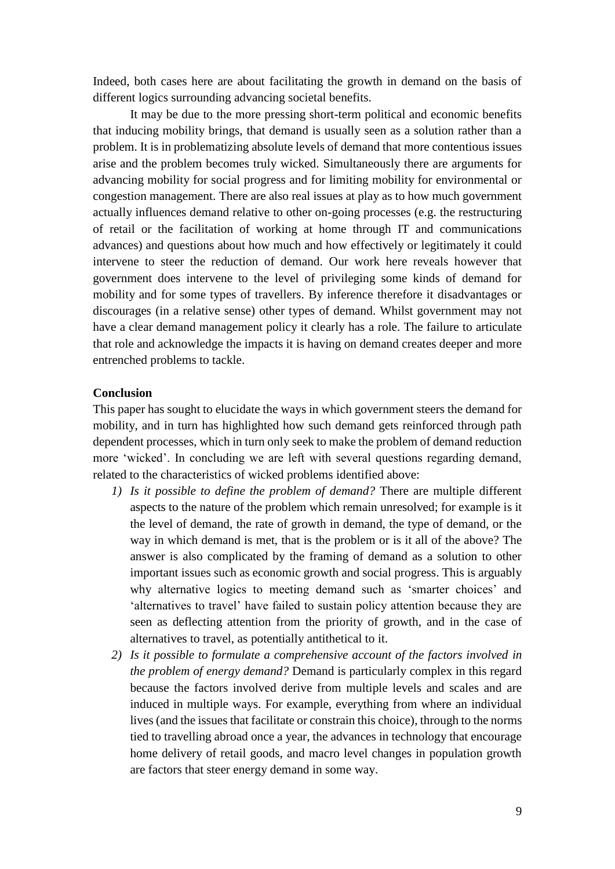Indeed, both cases here are about facilitating the growth in demand on the basis of different logics surrounding advancing societal benefits.

It may be due to the more pressing short-term political and economic benefits that inducing mobility brings, that demand is usually seen as a solution rather than a problem. It is in problematizing absolute levels of demand that more contentious issues arise and the problem becomes truly wicked. Simultaneously there are arguments for advancing mobility for social progress and for limiting mobility for environmental or congestion management. There are also real issues at play as to how much government actually influences demand relative to other on-going processes (e.g. the restructuring of retail or the facilitation of working at home through IT and communications advances) and questions about how much and how effectively or legitimately it could intervene to steer the reduction of demand. Our work here reveals however that government does intervene to the level of privileging some kinds of demand for mobility and for some types of travellers. By inference therefore it disadvantages or discourages (in a relative sense) other types of demand. Whilst government may not have a clear demand management policy it clearly has a role. The failure to articulate that role and acknowledge the impacts it is having on demand creates deeper and more entrenched problems to tackle.

#### **Conclusion**

This paper has sought to elucidate the ways in which government steers the demand for mobility, and in turn has highlighted how such demand gets reinforced through path dependent processes, which in turn only seek to make the problem of demand reduction more 'wicked'. In concluding we are left with several questions regarding demand, related to the characteristics of wicked problems identified above:

- *1) Is it possible to define the problem of demand?* There are multiple different aspects to the nature of the problem which remain unresolved; for example is it the level of demand, the rate of growth in demand, the type of demand, or the way in which demand is met, that is the problem or is it all of the above? The answer is also complicated by the framing of demand as a solution to other important issues such as economic growth and social progress. This is arguably why alternative logics to meeting demand such as 'smarter choices' and 'alternatives to travel' have failed to sustain policy attention because they are seen as deflecting attention from the priority of growth, and in the case of alternatives to travel, as potentially antithetical to it.
- *2) Is it possible to formulate a comprehensive account of the factors involved in the problem of energy demand?* Demand is particularly complex in this regard because the factors involved derive from multiple levels and scales and are induced in multiple ways. For example, everything from where an individual lives (and the issues that facilitate or constrain this choice), through to the norms tied to travelling abroad once a year, the advances in technology that encourage home delivery of retail goods, and macro level changes in population growth are factors that steer energy demand in some way.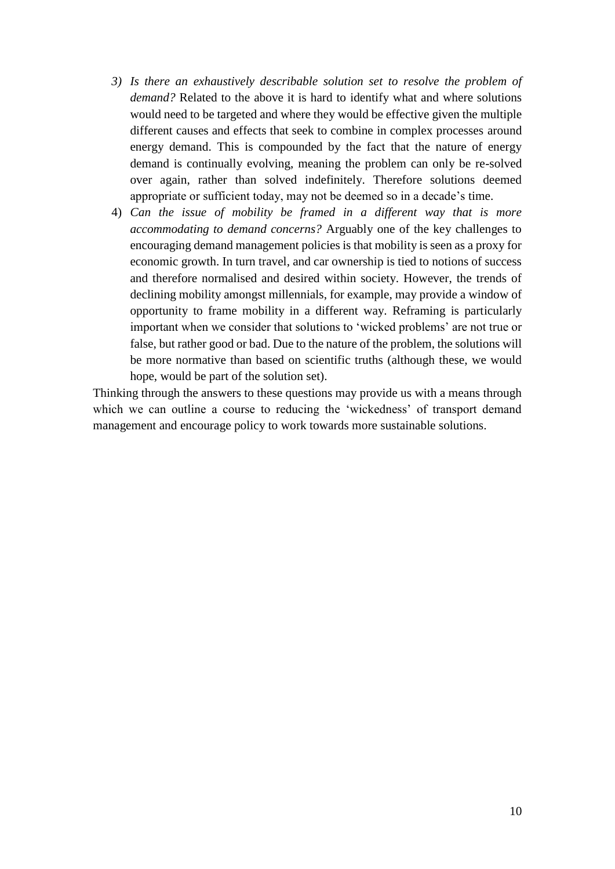- *3) Is there an exhaustively describable solution set to resolve the problem of demand?* Related to the above it is hard to identify what and where solutions would need to be targeted and where they would be effective given the multiple different causes and effects that seek to combine in complex processes around energy demand. This is compounded by the fact that the nature of energy demand is continually evolving, meaning the problem can only be re-solved over again, rather than solved indefinitely. Therefore solutions deemed appropriate or sufficient today, may not be deemed so in a decade's time.
- 4) *Can the issue of mobility be framed in a different way that is more accommodating to demand concerns?* Arguably one of the key challenges to encouraging demand management policies is that mobility is seen as a proxy for economic growth. In turn travel, and car ownership is tied to notions of success and therefore normalised and desired within society. However, the trends of declining mobility amongst millennials, for example, may provide a window of opportunity to frame mobility in a different way. Reframing is particularly important when we consider that solutions to 'wicked problems' are not true or false, but rather good or bad. Due to the nature of the problem, the solutions will be more normative than based on scientific truths (although these, we would hope, would be part of the solution set).

Thinking through the answers to these questions may provide us with a means through which we can outline a course to reducing the 'wickedness' of transport demand management and encourage policy to work towards more sustainable solutions.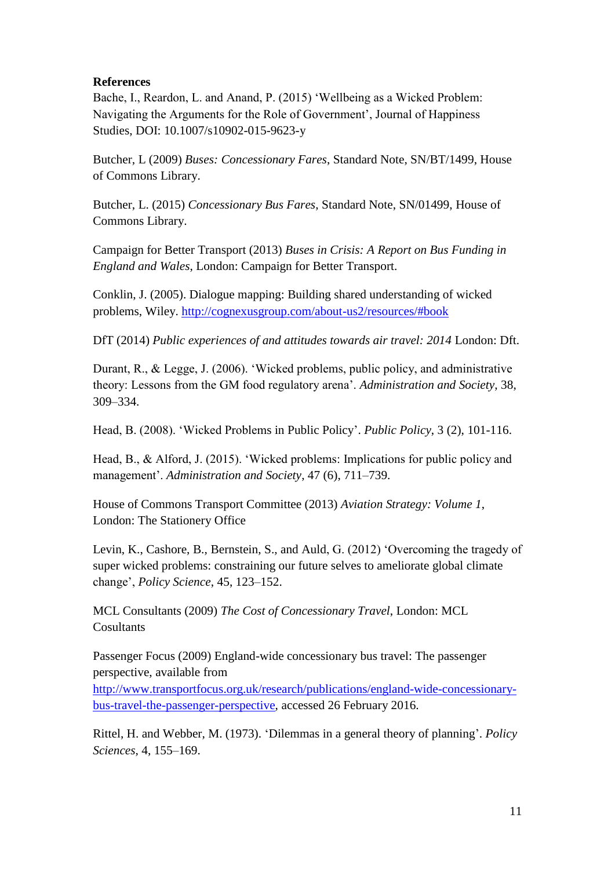#### **References**

Bache, I., Reardon, L. and Anand, P. (2015) 'Wellbeing as a Wicked Problem: Navigating the Arguments for the Role of Government', Journal of Happiness Studies, DOI: 10.1007/s10902-015-9623-y

Butcher, L (2009) *Buses: Concessionary Fares*, Standard Note, SN/BT/1499, House of Commons Library.

Butcher, L. (2015) *Concessionary Bus Fares*, Standard Note, SN/01499, House of Commons Library.

Campaign for Better Transport (2013) *Buses in Crisis: A Report on Bus Funding in England and Wales*, London: Campaign for Better Transport.

Conklin, J. (2005). Dialogue mapping: Building shared understanding of wicked problems, Wiley.<http://cognexusgroup.com/about-us2/resources/#book>

DfT (2014) *Public experiences of and attitudes towards air travel: 2014* London: Dft.

Durant, R., & Legge, J. (2006). 'Wicked problems, public policy, and administrative theory: Lessons from the GM food regulatory arena'. *Administration and Society*, 38, 309–334.

Head, B. (2008). 'Wicked Problems in Public Policy'. *Public Policy*, 3 (2), 101-116.

Head, B., & Alford, J. (2015). 'Wicked problems: Implications for public policy and management'. *Administration and Society*, 47 (6), 711–739.

House of Commons Transport Committee (2013) *Aviation Strategy: Volume 1*, London: The Stationery Office

Levin, K., Cashore, B., Bernstein, S., and Auld, G. (2012) 'Overcoming the tragedy of super wicked problems: constraining our future selves to ameliorate global climate change', *Policy Science*, 45, 123–152.

MCL Consultants (2009) *The Cost of Concessionary Travel*, London: MCL **Cosultants** 

Passenger Focus (2009) England-wide concessionary bus travel: The passenger perspective, available from

[http://www.transportfocus.org.uk/research/publications/england-wide-concessionary](http://www.transportfocus.org.uk/research/publications/england-wide-concessionary-bus-travel-the-passenger-perspective)[bus-travel-the-passenger-perspective,](http://www.transportfocus.org.uk/research/publications/england-wide-concessionary-bus-travel-the-passenger-perspective) accessed 26 February 2016.

Rittel, H. and Webber, M. (1973). 'Dilemmas in a general theory of planning'. *Policy Sciences*, 4, 155–169.